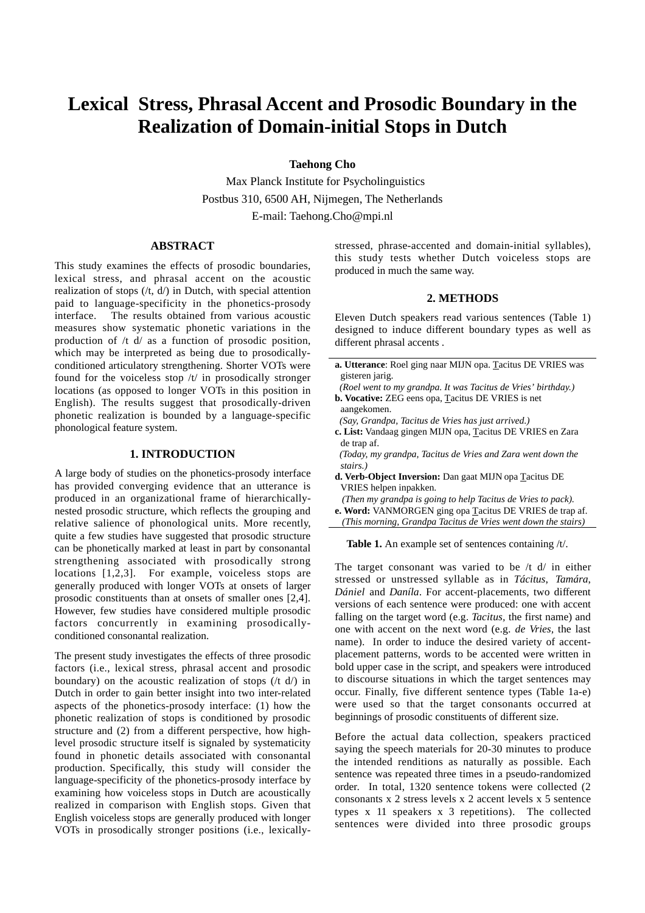# **Lexical Stress, Phrasal Accent and Prosodic Boundary in the Realization of Domain-initial Stops in Dutch**

**Taehong Cho**

 Max Planck Institute for Psycholinguistics Postbus 310, 6500 AH, Nijmegen, The Netherlands E-mail: Taehong.Cho@mpi.nl

## **ABSTRACT**

This study examines the effects of prosodic boundaries, lexical stress, and phrasal accent on the acoustic realization of stops  $((t, d))$  in Dutch, with special attention paid to language-specificity in the phonetics-prosody interface. The results obtained from various acoustic measures show systematic phonetic variations in the production of /t d/ as a function of prosodic position, which may be interpreted as being due to prosodicallyconditioned articulatory strengthening. Shorter VOTs were found for the voiceless stop /t/ in prosodically stronger locations (as opposed to longer VOTs in this position in English). The results suggest that prosodically-driven phonetic realization is bounded by a language-specific phonological feature system.

#### **1. INTRODUCTION**

A large body of studies on the phonetics-prosody interface has provided converging evidence that an utterance is produced in an organizational frame of hierarchicallynested prosodic structure, which reflects the grouping and relative salience of phonological units. More recently, quite a few studies have suggested that prosodic structure can be phonetically marked at least in part by consonantal strengthening associated with prosodically strong locations [1,2,3]. For example, voiceless stops are generally produced with longer VOTs at onsets of larger prosodic constituents than at onsets of smaller ones [2,4]. However, few studies have considered multiple prosodic factors concurrently in examining prosodicallyconditioned consonantal realization.

The present study investigates the effects of three prosodic factors (i.e., lexical stress, phrasal accent and prosodic boundary) on the acoustic realization of stops  $($ /t d $)$  in Dutch in order to gain better insight into two inter-related aspects of the phonetics-prosody interface: (1) how the phonetic realization of stops is conditioned by prosodic structure and (2) from a different perspective, how highlevel prosodic structure itself is signaled by systematicity found in phonetic details associated with consonantal production. Specifically, this study will consider the language-specificity of the phonetics-prosody interface by examining how voiceless stops in Dutch are acoustically realized in comparison with English stops. Given that English voiceless stops are generally produced with longer VOTs in prosodically stronger positions (i.e., lexicallystressed, phrase-accented and domain-initial syllables), this study tests whether Dutch voiceless stops are produced in much the same way.

#### **2. METHODS**

Eleven Dutch speakers read various sentences (Table 1) designed to induce different boundary types as well as different phrasal accents.

- **a. Utterance**: Roel ging naar MIJN opa. Tacitus DE VRIES was gisteren jarig.
- *(Roel went to my grandpa. It was Tacitus de Vries' birthday.)* **b. Vocative:** ZEG eens opa, Tacitus DE VRIES is net
- aangekomen.  *(Say, Grandpa, Tacitus de Vries has just arrived.)*
- **c. List:** Vandaag gingen MIJN opa, Tacitus DE VRIES en Zara de trap af.
- *(Today, my grandpa, Tacitus de Vries and Zara went down the stairs.)*
- **d. Verb-Object Inversion:** Dan gaat MIJN opa Tacitus DE VRIES helpen inpakken.
- *(Then my grandpa is going to help Tacitus de Vries to pack).*
- **e. Word:** VANMORGEN ging opa Tacitus DE VRIES de trap af.
- *(This morning, Grandpa Tacitus de Vries went down the stairs)*

Table 1. An example set of sentences containing /t/.

The target consonant was varied to be /t d/ in either stressed or unstressed syllable as in *Tácitus*, *Tamára*, *Dániel* and *Daníla*. For accent-placements, two different versions of each sentence were produced: one with accent falling on the target word (e.g. *Tacitus,* the first name) and one with accent on the next word (e.g. *de Vries,* the last name). In order to induce the desired variety of accentplacement patterns, words to be accented were written in bold upper case in the script, and speakers were introduced to discourse situations in which the target sentences may occur. Finally, five different sentence types (Table 1a-e) were used so that the target consonants occurred at beginnings of prosodic constituents of different size.

Before the actual data collection, speakers practiced saying the speech materials for 20-30 minutes to produce the intended renditions as naturally as possible. Each sentence was repeated three times in a pseudo-randomized order. In total, 1320 sentence tokens were collected (2 consonants x 2 stress levels x 2 accent levels x 5 sentence types x 11 speakers x 3 repetitions). The collected sentences were divided into three prosodic groups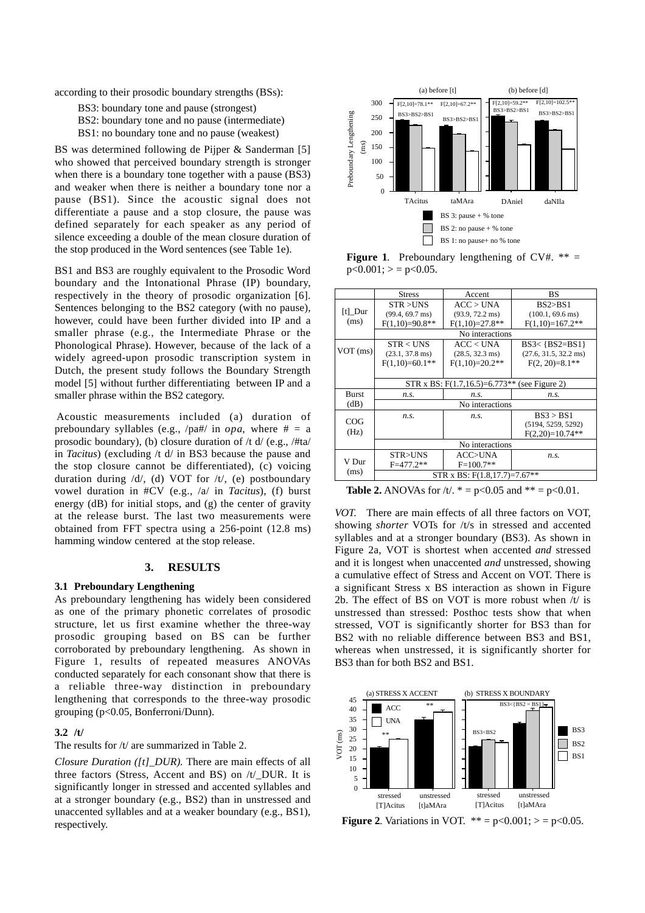according to their prosodic boundary strengths (BSs):

BS3: boundary tone and pause (strongest) BS2: boundary tone and no pause (intermediate)

BS1: no boundary tone and no pause (weakest)

BS was determined following de Pijper & Sanderman [5] who showed that perceived boundary strength is stronger when there is a boundary tone together with a pause (BS3) and weaker when there is neither a boundary tone nor a pause (BS1). Since the acoustic signal does not differentiate a pause and a stop closure, the pause was defined separately for each speaker as any period of silence exceeding a double of the mean closure duration of the stop produced in the Word sentences (see Table 1e).

BS1 and BS3 are roughly equivalent to the Prosodic Word boundary and the Intonational Phrase (IP) boundary, respectively in the theory of prosodic organization [6]. Sentences belonging to the BS2 category (with no pause), however, could have been further divided into IP and a smaller phrase (e.g., the Intermediate Phrase or the Phonological Phrase). However, because of the lack of a widely agreed-upon prosodic transcription system in Dutch, the present study follows the Boundary Strength model [5] without further differentiating between IP and a smaller phrase within the BS2 category.

 Acoustic measurements included (a) duration of preboundary syllables (e.g.,  $\langle$ pa# $\rangle$  in *opa*, where # = a prosodic boundary), (b) closure duration of /t d/ (e.g., /#ta/ in *Tacitus*) (excluding /t d/ in BS3 because the pause and the stop closure cannot be differentiated), (c) voicing duration during /d/, (d) VOT for /t/, (e) postboundary vowel duration in #CV (e.g., /a/ in *Tacitus*), (f) burst energy (dB) for initial stops, and (g) the center of gravity at the release burst. The last two measurements were obtained from FFT spectra using a 256-point (12.8 ms) hamming window centered at the stop release.

# **3. RESULTS**

#### **3.1 Preboundary Lengthening**

As preboundary lengthening has widely been considered as one of the primary phonetic correlates of prosodic structure, let us first examine whether the three-way prosodic grouping based on BS can be further corroborated by preboundary lengthening. As shown in Figure 1, results of repeated measures ANOVAs conducted separately for each consonant show that there is a reliable three-way distinction in preboundary lengthening that corresponds to the three-way prosodic grouping (p<0.05, Bonferroni/Dunn).

#### **3.2 /t/**

The results for /t/ are summarized in Table 2.

*Closure Duration ([t]\_DUR).* There are main effects of all three factors (Stress, Accent and BS) on /t/\_DUR. It is significantly longer in stressed and accented syllables and at a stronger boundary (e.g., BS2) than in unstressed and unaccented syllables and at a weaker boundary (e.g., BS1), respectively.



**Figure 1.** Preboundary lengthening of CV#.  $** =$  $p<0.001$ ;  $> p<0.05$ .

|              | <b>Stress</b>                                     | Accent                    | BS                              |  |
|--------------|---------------------------------------------------|---------------------------|---------------------------------|--|
|              | STR > UNS                                         | ACC > UNA                 | BS2 > B.S1                      |  |
| $[t]$ Dur    | $(99.4, 69.7 \text{ ms})$                         | $(93.9, 72.2 \text{ ms})$ | $(100.1, 69.6 \text{ ms})$      |  |
| (ms)         | $F(1,10)=90.8**$                                  | $F(1,10)=27.8**$          | $F(1,10)=167.2**$               |  |
|              | No interactions                                   |                           |                                 |  |
| $VOT$ (ms)   | STR < IINS                                        | ACC < UNA                 | $BS3<$ {BS2=BS1}                |  |
|              | $(23.1, 37.8 \text{ ms})$                         | $(28.5, 32.3 \text{ ms})$ | $(27.6, 31.5, 32.2 \text{ ms})$ |  |
|              | $F(1,10)=60.1**$                                  | $F(1,10)=20.2**$          | $F(2, 20)=8.1**$                |  |
|              |                                                   |                           |                                 |  |
|              | STR x BS: $F(1.7, 16.5) = 6.773**$ (see Figure 2) |                           |                                 |  |
| <b>Burst</b> | n.s.                                              | n.s.                      | n.s.                            |  |
| (dB)         | No interactions                                   |                           |                                 |  |
|              | n.s.                                              | n.s.                      | BS3 > BS1                       |  |
| COG          |                                                   |                           | (5194, 5259, 5292)              |  |
| (Hz)         |                                                   |                           | $F(2,20)=10.74**$               |  |
|              | No interactions                                   |                           |                                 |  |
|              | STR>UNS                                           | <b>ACC&gt;UNA</b>         | n.s.                            |  |
| V Dur        | $F = 477.2**$                                     | $F=100.7**$               |                                 |  |
| (ms)         | STR x BS: $F(1.8, 17.7) = 7.67**$                 |                           |                                 |  |

**Table 2.** ANOVAs for /t/.  $* = p < 0.05$  and  $* = p < 0.01$ .

*VOT*. There are main effects of all three factors on VOT, showing *shorter* VOTs for /t/s in stressed and accented syllables and at a stronger boundary (BS3). As shown in Figure 2a, VOT is shortest when accented *and* stressed and it is longest when unaccented *and* unstressed, showing a cumulative effect of Stress and Accent on VOT. There is a significant Stress x BS interaction as shown in Figure 2b. The effect of BS on VOT is more robust when  $/t/$  is unstressed than stressed: Posthoc tests show that when stressed, VOT is significantly shorter for BS3 than for BS2 with no reliable difference between BS3 and BS1, whereas when unstressed, it is significantly shorter for BS3 than for both BS2 and BS1.



**Figure 2.** Variations in VOT.  $** = p<0.001$ ;  $> p<0.05$ .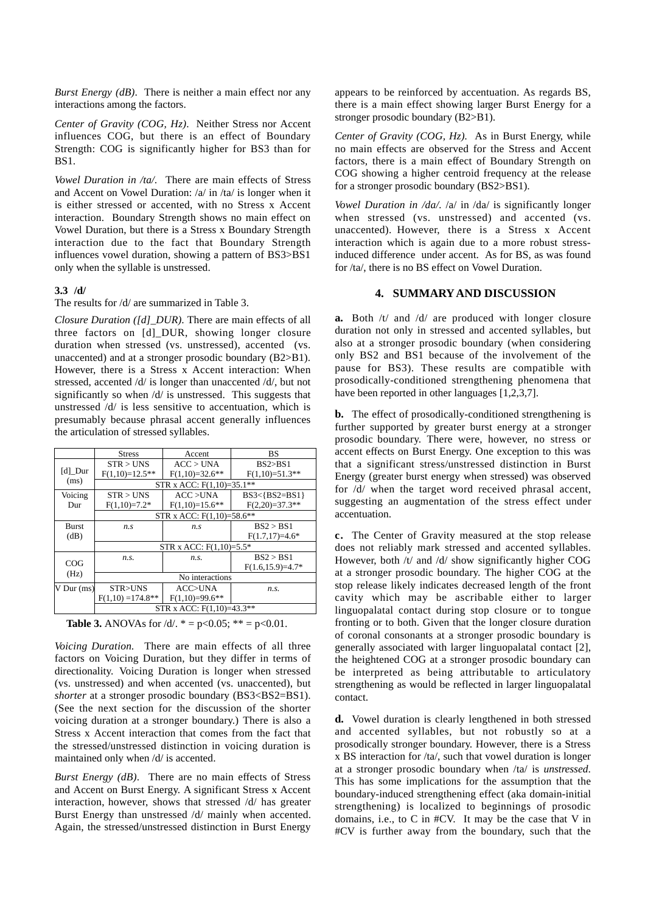*Burst Energy (dB)*. There is neither a main effect nor any interactions among the factors.

*Center of Gravity (COG, Hz)*. Neither Stress nor Accent influences COG, but there is an effect of Boundary Strength: COG is significantly higher for BS3 than for BS1.

*Vowel Duration in /ta/.* There are main effects of Stress and Accent on Vowel Duration: /a/ in /ta/ is longer when it is either stressed or accented, with no Stress x Accent interaction. Boundary Strength shows no main effect on Vowel Duration, but there is a Stress x Boundary Strength interaction due to the fact that Boundary Strength influences vowel duration, showing a pattern of BS3>BS1 only when the syllable is unstressed.

## **3.3 /d/**

# The results for /d/ are summarized in Table 3.

*Closure Duration ([d]\_DUR)*. There are main effects of all three factors on [d]\_DUR, showing longer closure duration when stressed (vs. unstressed), accented (vs. unaccented) and at a stronger prosodic boundary (B2>B1). However, there is a Stress x Accent interaction: When stressed, accented /d/ is longer than unaccented /d/, but not significantly so when /d/ is unstressed. This suggests that unstressed /d/ is less sensitive to accentuation, which is presumably because phrasal accent generally influences the articulation of stressed syllables.

|                | <b>Stress</b>               | Accent           | BS                    |  |
|----------------|-----------------------------|------------------|-----------------------|--|
| $[d]$ Dur      | STR > UNS                   | ACC > UNA        | BS2 > BS1             |  |
|                | $F(1,10)=12.5**$            | $F(1,10)=32.6**$ | $F(1,10)=51.3**$      |  |
| (ms)           | STR x ACC: $F(1,10)=35.1**$ |                  |                       |  |
| Voicing        | STR > UNS                   | ACC > UNA        | $BS3<$ { $BS2=BS1$ }  |  |
| Dur            | $F(1,10)=7.2*$              | $F(1,10)=15.6**$ | $F(2,20)=37.3**$      |  |
|                | STR x ACC: $F(1,10)=58.6**$ |                  |                       |  |
| Burst          | n.s                         | n.s              | BS2 > BS1             |  |
| (dB)           |                             |                  | $F(1.7, 17)=4.6*$     |  |
|                | STR x ACC: $F(1,10)=5.5*$   |                  |                       |  |
| COG<br>(Hz)    | n.s.                        | n.s.             | BS2 > BS1             |  |
|                |                             |                  | $F(1.6, 15.9) = 4.7*$ |  |
|                | No interactions             |                  |                       |  |
| $V$ Dur $(ms)$ | STR>UNS                     | ACC>UNA          | n.s.                  |  |
|                | $F(1,10) = 174.8**$         | $F(1,10)=99.6**$ |                       |  |
|                | STR x ACC: $F(1,10)=43.3**$ |                  |                       |  |

**Table 3.** ANOVAs for  $/d/$ .  $* = p < 0.05$ ;  $** = p < 0.01$ .

*Voicing Duration.* There are main effects of all three factors on Voicing Duration, but they differ in terms of directionality. Voicing Duration is longer when stressed (vs. unstressed) and when accented (vs. unaccented), but *shorter* at a stronger prosodic boundary (BS3<BS2=BS1). (See the next section for the discussion of the shorter voicing duration at a stronger boundary.) There is also a Stress x Accent interaction that comes from the fact that the stressed/unstressed distinction in voicing duration is maintained only when /d/ is accented.

*Burst Energy (dB)*. There are no main effects of Stress and Accent on Burst Energy. A significant Stress x Accent interaction, however, shows that stressed /d/ has greater Burst Energy than unstressed /d/ mainly when accented. Again, the stressed/unstressed distinction in Burst Energy

appears to be reinforced by accentuation. As regards BS, there is a main effect showing larger Burst Energy for a stronger prosodic boundary (B2>B1).

*Center of Gravity (COG, Hz).* As in Burst Energy, while no main effects are observed for the Stress and Accent factors, there is a main effect of Boundary Strength on COG showing a higher centroid frequency at the release for a stronger prosodic boundary (BS2>BS1).

*Vowel Duration in /da/.* /a/ in /da/ is significantly longer when stressed (vs. unstressed) and accented (vs. unaccented). However, there is a Stress x Accent interaction which is again due to a more robust stressinduced difference under accent. As for BS, as was found for /ta/, there is no BS effect on Vowel Duration.

# **4. SUMMARY AND DISCUSSION**

**a.** Both /t/ and /d/ are produced with longer closure duration not only in stressed and accented syllables, but also at a stronger prosodic boundary (when considering only BS2 and BS1 because of the involvement of the pause for BS3). These results are compatible with prosodically-conditioned strengthening phenomena that have been reported in other languages [1,2,3,7].

**b.** The effect of prosodically-conditioned strengthening is further supported by greater burst energy at a stronger prosodic boundary. There were, however, no stress or accent effects on Burst Energy. One exception to this was that a significant stress/unstressed distinction in Burst Energy (greater burst energy when stressed) was observed for /d/ when the target word received phrasal accent, suggesting an augmentation of the stress effect under accentuation.

**c.** The Center of Gravity measured at the stop release does not reliably mark stressed and accented syllables. However, both /t/ and /d/ show significantly higher COG at a stronger prosodic boundary. The higher COG at the stop release likely indicates decreased length of the front cavity which may be ascribable either to larger linguopalatal contact during stop closure or to tongue fronting or to both. Given that the longer closure duration of coronal consonants at a stronger prosodic boundary is generally associated with larger linguopalatal contact [2], the heightened COG at a stronger prosodic boundary can be interpreted as being attributable to articulatory strengthening as would be reflected in larger linguopalatal contact.

**d.** Vowel duration is clearly lengthened in both stressed and accented syllables, but not robustly so at a prosodically stronger boundary. However, there is a Stress x BS interaction for /ta/, such that vowel duration is longer at a stronger prosodic boundary when /ta/ is *unstressed*. This has some implications for the assumption that the boundary-induced strengthening effect (aka domain-initial strengthening) is localized to beginnings of prosodic domains, i.e., to C in #CV. It may be the case that V in #CV is further away from the boundary, such that the